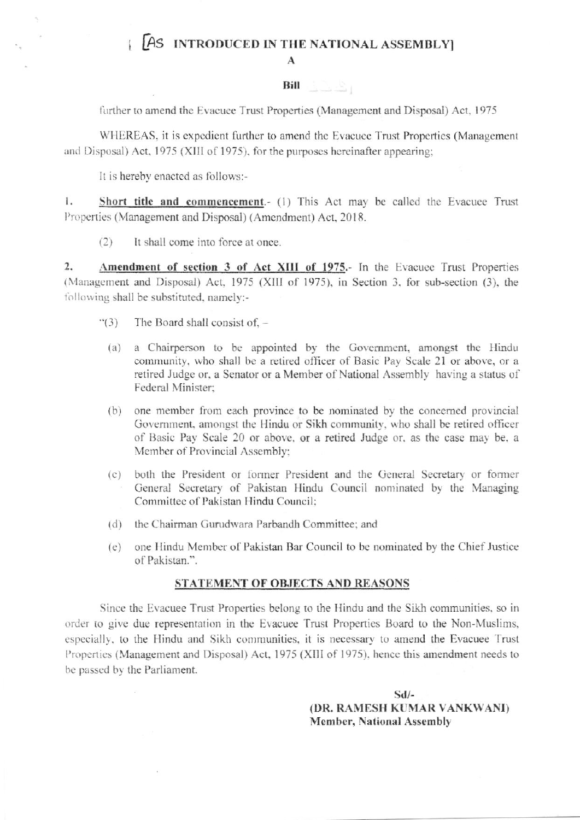## AS INTRODUCED IN THE NATIONAL ASSEMBLYI

A

## **Bill Bill**

further to amend the Evacuee Trust Properties (Management and Disposal) Act, 1975

WHEREAS, it is expedient further to amend the Evacuee Trust Properties (Management and Disposal) Act, 1975 (XIII of 1975), for the purposes hereinafter appearing;

It is hereby enacted as follows:-

1. Short title and commencement.- (1) This Act may be called the Evacuee Trust Properties (Management and Disposal) (Amendment) Act, 2018.

It shall come into force at once.  $(2)$ 

 $\overline{2}$ . Amendment of section 3 of Act XIII of 1975.- In the Evacuee Trust Properties (Management and Disposal) Act, 1975 (XIII of 1975), in Section 3, for sub-section (3), the following shall be substituted, namely:-

- $\cdot (3)$ The Board shall consist of,  $$ 
	- a Chairperson to be appointed by the Government, amongst the Hindu  $(a)$ community, who shall be a retired officer of Basic Pay Scale 21 or above, or a retired Judge or, a Senator or a Member of National Assembly having a status of Federal Minister;
	- one member from each province to be nominated by the concerned provincial  $(b)$ Government, amongst the Hindu or Sikh community, who shall be retired officer of Basic Pay Scale 20 or above, or a retired Judge or, as the case may be, a Member of Provincial Assembly:
	- (c) both the President or former President and the General Secretary or former General Secretary of Pakistan Hindu Council nominated by the Managing Committee of Pakistan Hindu Council:
	- (d) the Chairman Gurudwara Parbandh Committee; and
	- (e) one Hindu Member of Pakistan Bar Council to be nominated by the Chief Justice of Pakistan.".

## STATEMENT OF OBJECTS AND REASONS

Since the Evacuee Trust Properties belong to the Hindu and the Sikh communities, so in order to give due representation in the Evacuee Trust Properties Board to the Non-Muslims, especially, to the Hindu and Sikh communities, it is necessary to amend the Evacuee Trust Properties (Management and Disposal) Act, 1975 (XIII of 1975), hence this amendment needs to be passed by the Parliament.

> $Sd/-$ (DR. RAMESH KUMAR VANKWANI) **Member, National Assembly**